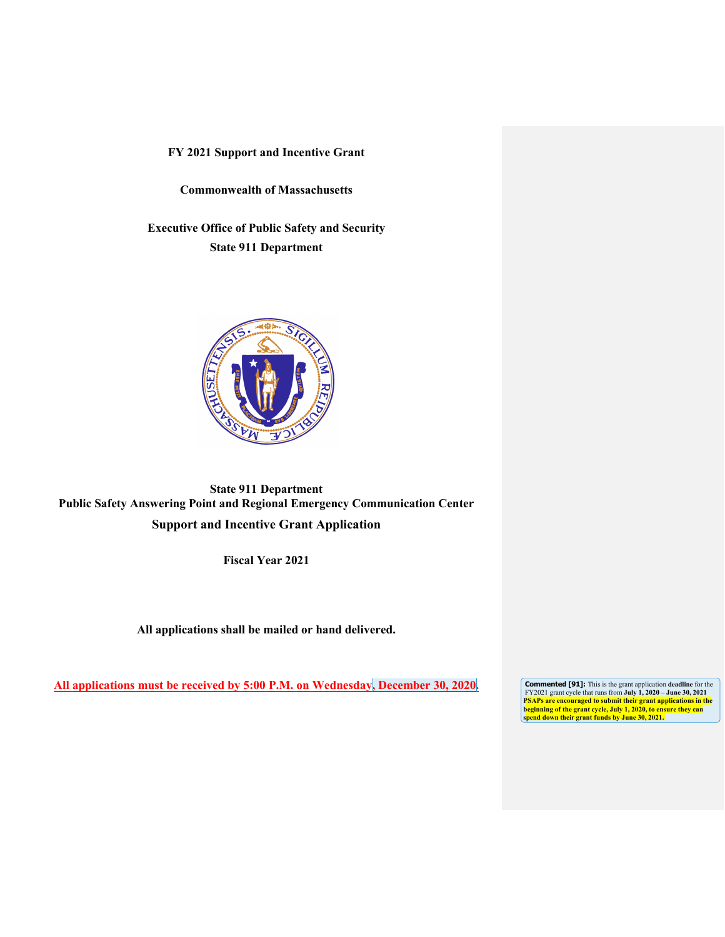**Commonwealth of Massachusetts**

**Executive Office of Public Safety and Security State 911 Department**



**State 911 Department Public Safety Answering Point and Regional Emergency Communication Center Support and Incentive Grant Application**

**Fiscal Year 2021** 

**All applications shall be mailed or hand delivered.** 

All applications must be received by 5:00 P.M. on Wednesday, December 30, 2020.

**Commented [91]:** This is the grant application deadline for the FY2021 grant cycle that runs from **July 1, 2020** – **June 30, 2021** PSAPs are encouraged to submit their grant applications in the<br>beginning of the grant cycle, July 1, 2020, to ensure they can<br>spend down their grant funds by June 30, 2021.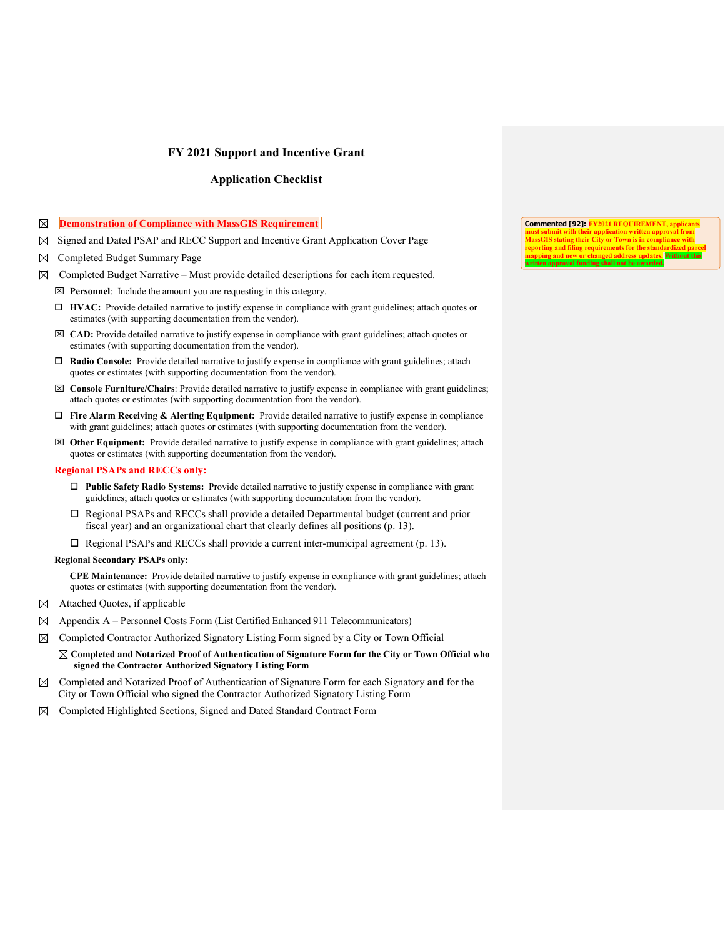## **Application Checklist**

#### **Demonstration of Compliance with MassGIS Requirement**

- Signed and Dated PSAP and RECC Support and Incentive Grant Application Cover Page
- Completed Budget Summary Page
- $\boxtimes$  Completed Budget Narrative Must provide detailed descriptions for each item requested.
	- **Personnel**: Include the amount you are requesting in this category.
	- **HVAC:** Provide detailed narrative to justify expense in compliance with grant guidelines; attach quotes or estimates (with supporting documentation from the vendor).
	- **CAD:** Provide detailed narrative to justify expense in compliance with grant guidelines; attach quotes or estimates (with supporting documentation from the vendor).
	- **Radio Console:** Provide detailed narrative to justify expense in compliance with grant guidelines; attach quotes or estimates (with supporting documentation from the vendor).
	- **Console Furniture/Chairs**: Provide detailed narrative to justify expense in compliance with grant guidelines; attach quotes or estimates (with supporting documentation from the vendor).
	- **Fire Alarm Receiving & Alerting Equipment:** Provide detailed narrative to justify expense in compliance with grant guidelines; attach quotes or estimates (with supporting documentation from the vendor).
	- **Other Equipment:** Provide detailed narrative to justify expense in compliance with grant guidelines; attach quotes or estimates (with supporting documentation from the vendor).

#### **Regional PSAPs and RECCs only:**

- **Public Safety Radio Systems:** Provide detailed narrative to justify expense in compliance with grant guidelines; attach quotes or estimates (with supporting documentation from the vendor).
- Regional PSAPs and RECCs shall provide a detailed Departmental budget (current and prior fiscal year) and an organizational chart that clearly defines all positions (p. 13).
- $\Box$  Regional PSAPs and RECCs shall provide a current inter-municipal agreement (p. 13).

#### **Regional Secondary PSAPs only:**

**CPE Maintenance:** Provide detailed narrative to justify expense in compliance with grant guidelines; attach quotes or estimates (with supporting documentation from the vendor).

- $\boxtimes$  Attached Quotes, if applicable
- $\boxtimes$  Appendix A Personnel Costs Form (List Certified Enhanced 911 Telecommunicators)
- $\boxtimes$  Completed Contractor Authorized Signatory Listing Form signed by a City or Town Official

#### **Completed and Notarized Proof of Authentication of Signature Form for the City or Town Official who signed the Contractor Authorized Signatory Listing Form**

- Completed and Notarized Proof of Authentication of Signature Form for each Signatory **and** for the City or Town Official who signed the Contractor Authorized Signatory Listing Form
- Completed Highlighted Sections, Signed and Dated Standard Contract Form ⊠

**Commented [92]: FY2021 REQUIREMENT, applicants nust submit with their application written approximately**<br>*AsseCIS stating their City or Town is in compl* **Mino their Cit reporting and filing requirements for the standardized parcel mapping and new or changed address updates. Without this approval funding shall not be awarder**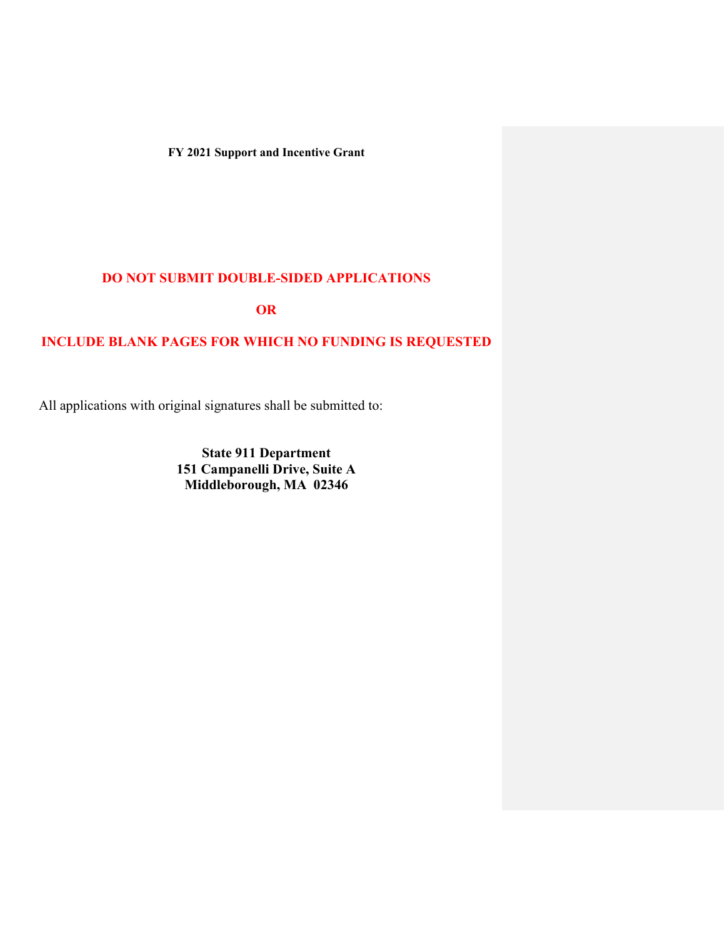## **DO NOT SUBMIT DOUBLE-SIDED APPLICATIONS**

**OR** 

## **INCLUDE BLANK PAGES FOR WHICH NO FUNDING IS REQUESTED**

All applications with original signatures shall be submitted to:

**State 911 Department 151 Campanelli Drive, Suite A Middleborough, MA 02346**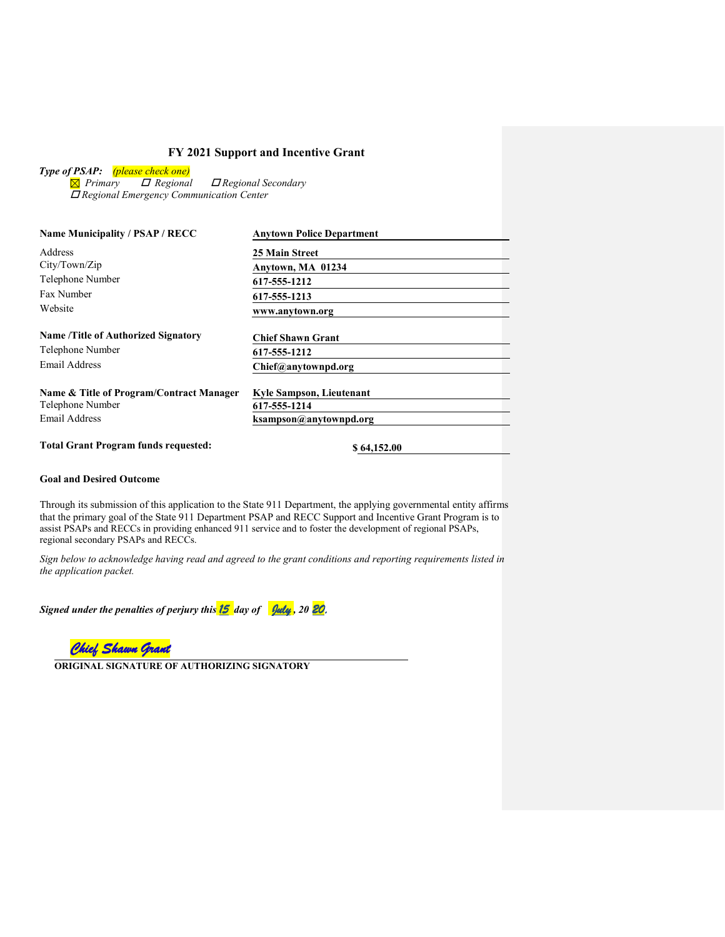*Type of PSAP: (please check one)*

 *Primary Regional Regional Secondary Regional Emergency Communication Center*

| <b>Name Municipality / PSAP / RECC</b>                         | <b>Anytown Police Department</b> |
|----------------------------------------------------------------|----------------------------------|
| Address                                                        | <b>25 Main Street</b>            |
| City/Town/Zip                                                  | Anytown, MA 01234                |
| Telephone Number                                               | 617-555-1212                     |
| Fax Number                                                     | 617-555-1213                     |
| Website                                                        | www.anytown.org                  |
| <b>Name /Title of Authorized Signatory</b><br>Telephone Number | <b>Chief Shawn Grant</b>         |
| <b>Email Address</b>                                           | 617-555-1212                     |
|                                                                | Chief@anytownpd.org              |
| Name & Title of Program/Contract Manager                       | <b>Kyle Sampson, Lieutenant</b>  |
| Telephone Number                                               | 617-555-1214                     |
| Email Address                                                  | ksampson@anytownpd.org           |
| <b>Total Grant Program funds requested:</b>                    | \$64,152.00                      |

## **Goal and Desired Outcome**

Through its submission of this application to the State 911 Department, the applying governmental entity affirms that the primary goal of the State 911 Department PSAP and RECC Support and Incentive Grant Program is to assist PSAPs and RECCs in providing enhanced 911 service and to foster the development of regional PSAPs, regional secondary PSAPs and RECCs.

*Sign below to acknowledge having read and agreed to the grant conditions and reporting requirements listed in the application packet.* 

*Signed under the penalties of perjury this 15 day of July , 20 20.*

*Chief Shawn Grant* 

**ORIGINAL SIGNATURE OF AUTHORIZING SIGNATORY**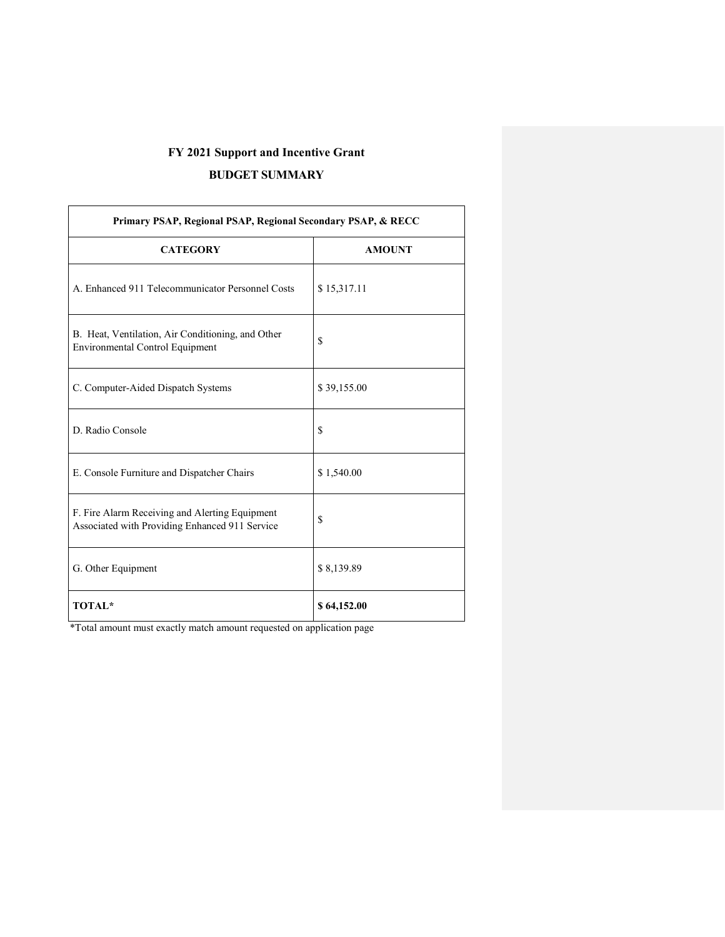## **BUDGET SUMMARY**

 $\Gamma$ 

| Primary PSAP, Regional PSAP, Regional Secondary PSAP, & RECC                                     |               |  |
|--------------------------------------------------------------------------------------------------|---------------|--|
| <b>CATEGORY</b>                                                                                  | <b>AMOUNT</b> |  |
| A. Enhanced 911 Telecommunicator Personnel Costs                                                 | \$15,317.11   |  |
| B. Heat, Ventilation, Air Conditioning, and Other<br>Environmental Control Equipment             | \$            |  |
| C. Computer-Aided Dispatch Systems                                                               | \$39,155.00   |  |
| D. Radio Console                                                                                 | \$            |  |
| E. Console Furniture and Dispatcher Chairs                                                       | \$1,540.00    |  |
| F. Fire Alarm Receiving and Alerting Equipment<br>Associated with Providing Enhanced 911 Service | \$            |  |
| G. Other Equipment                                                                               | \$8,139.89    |  |
| <b>TOTAL*</b>                                                                                    | \$64,152.00   |  |

\*Total amount must exactly match amount requested on application page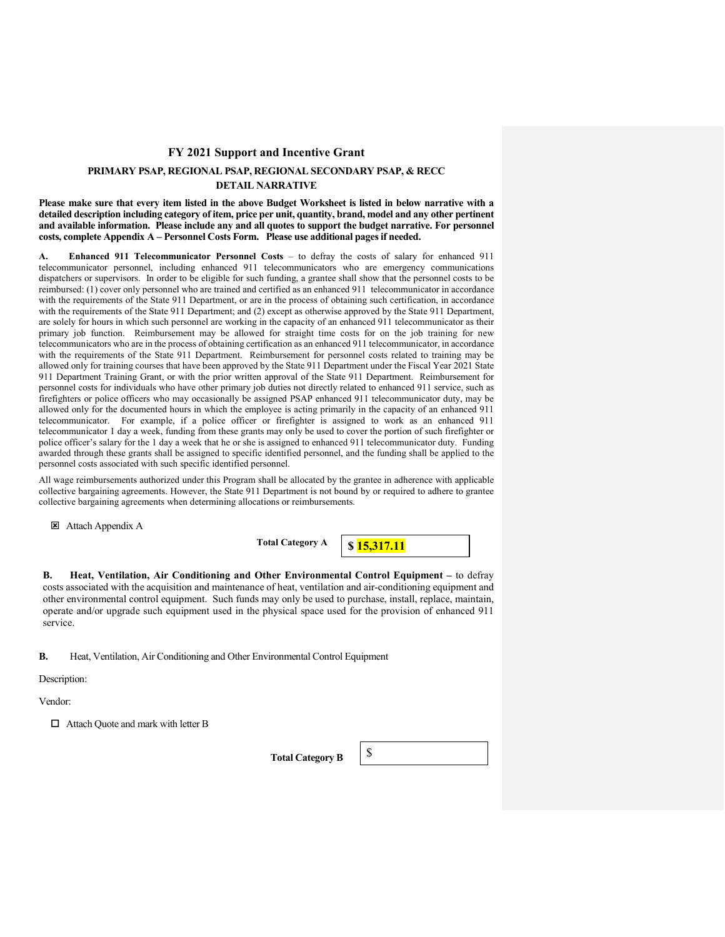## **PRIMARY PSAP, REGIONAL PSAP, REGIONAL SECONDARY PSAP, & RECC DETAIL NARRATIVE**

**Please make sure that every item listed in the above Budget Worksheet is listed in below narrative with a detailed description including category of item, price per unit, quantity, brand, model and any other pertinent and available information. Please include any and all quotes to support the budget narrative. For personnel costs, complete Appendix A – Personnel Costs Form. Please use additional pages if needed.**

**A. Enhanced 911 Telecommunicator Personnel Costs** – to defray the costs of salary for enhanced 911 telecommunicator personnel, including enhanced 911 telecommunicators who are emergency communications dispatchers or supervisors. In order to be eligible for such funding, a grantee shall show that the personnel costs to be reimbursed: (1) cover only personnel who are trained and certified as an enhanced 911 telecommunicator in accordance with the requirements of the State 911 Department, or are in the process of obtaining such certification, in accordance with the requirements of the State 911 Department; and (2) except as otherwise approved by the State 911 Department, are solely for hours in which such personnel are working in the capacity of an enhanced 911 telecommunicator as their primary job function. Reimbursement may be allowed for straight time costs for on the job training for new telecommunicators who are in the process of obtaining certification as an enhanced 911 telecommunicator, in accordance with the requirements of the State 911 Department. Reimbursement for personnel costs related to training may be allowed only for training courses that have been approved by the State 911 Department under the Fiscal Year 2021 State 911 Department Training Grant, or with the prior written approval of the State 911 Department. Reimbursement for personnel costs for individuals who have other primary job duties not directly related to enhanced 911 service, such as firefighters or police officers who may occasionally be assigned PSAP enhanced 911 telecommunicator duty, may be allowed only for the documented hours in which the employee is acting primarily in the capacity of an enhanced 911 telecommunicator. For example, if a police officer or firefighter is assigned to work as an enhanced 911 telecommunicator 1 day a week, funding from these grants may only be used to cover the portion of such firefighter or police officer's salary for the 1 day a week that he or she is assigned to enhanced 911 telecommunicator duty. Funding awarded through these grants shall be assigned to specific identified personnel, and the funding shall be applied to the personnel costs associated with such specific identified personnel.

All wage reimbursements authorized under this Program shall be allocated by the grantee in adherence with applicable collective bargaining agreements. However, the State 911 Department is not bound by or required to adhere to grantee collective bargaining agreements when determining allocations or reimbursements.

Attach Appendix A

**Total Category A**

**\$ 15,317.11**

**B. Heat, Ventilation, Air Conditioning and Other Environmental Control Equipment –** to defray costs associated with the acquisition and maintenance of heat, ventilation and air-conditioning equipment and other environmental control equipment. Such funds may only be used to purchase, install, replace, maintain, operate and/or upgrade such equipment used in the physical space used for the provision of enhanced 911 service.

**B.** Heat, Ventilation, Air Conditioning and Other Environmental Control Equipment

Description:

Vendor:

□ Attach Quote and mark with letter B

Total Category B  $\frac{1}{8}$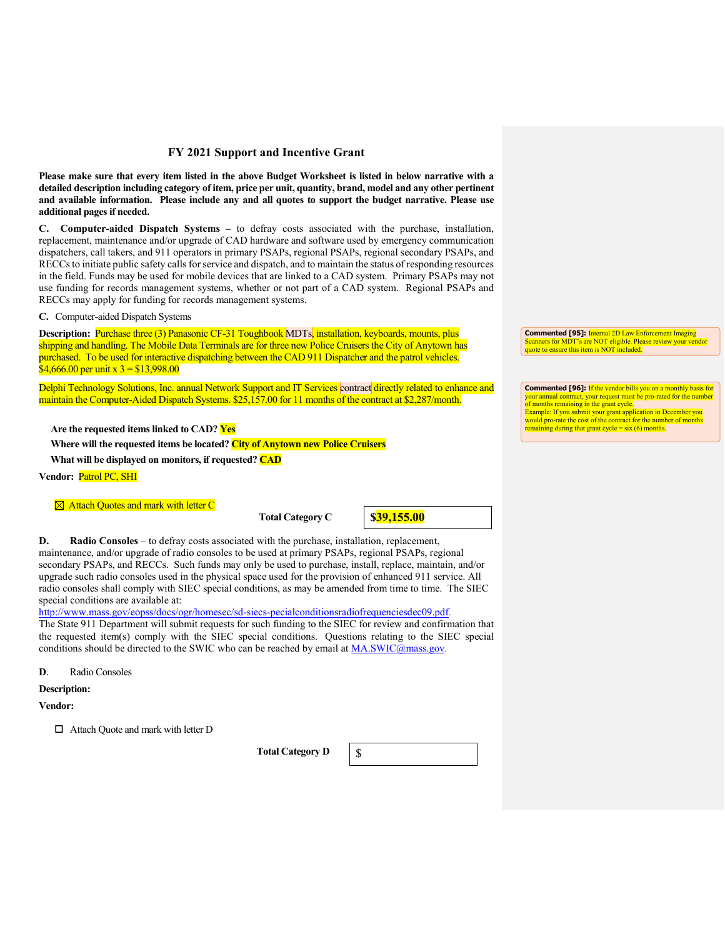**Please make sure that every item listed in the above Budget Worksheet is listed in below narrative with a detailed description including category of item, price per unit, quantity, brand, model and any other pertinent and available information. Please include any and all quotes to support the budget narrative. Please use additional pages if needed.**

**C. Computer-aided Dispatch Systems –** to defray costs associated with the purchase, installation, replacement, maintenance and/or upgrade of CAD hardware and software used by emergency communication dispatchers, call takers, and 911 operators in primary PSAPs, regional PSAPs, regional secondary PSAPs, and RECCsto initiate public safety calls for service and dispatch, and to maintain the status of responding resources in the field. Funds may be used for mobile devices that are linked to a CAD system. Primary PSAPs may not use funding for records management systems, whether or not part of a CAD system. Regional PSAPs and RECCs may apply for funding for records management systems.

**C.** Computer-aided Dispatch Systems

**Description:** Purchase three (3) Panasonic CF-31 Toughbook MDTs, installation, keyboards, mounts, plus shipping and handling. The Mobile Data Terminals are for three new Police Cruisers the City of Anytown has purchased. To be used for interactive dispatching between the CAD 911 Dispatcher and the patrol vehicles. \$4,666.00 per unit x  $3 = $13,998.00$ 

Delphi Technology Solutions, Inc. annual Network Support and IT Services contract directly related to enhance and maintain the Computer-Aided Dispatch Systems. \$25,157.00 for 11 months of the contract at \$2,287/month.

**Are the requested items linked to CAD? Yes**

**Where will the requested items be located? City of Anytown new Police Cruisers**

**What will be displayed on monitors, if requested? CAD**

**Vendor:** Patrol PC, SHI

**<sup>** $\boxtimes$ **</sup> Attach Quotes and mark with letter C** 

**Total Category C** 

**\$39,155.00**

**D.** Radio Consoles – to defray costs associated with the purchase, installation, replacement, maintenance, and/or upgrade of radio consoles to be used at primary PSAPs, regional PSAPs, regional secondary PSAPs, and RECCs. Such funds may only be used to purchase, install, replace, maintain, and/or upgrade such radio consoles used in the physical space used for the provision of enhanced 911 service. All radio consoles shall comply with SIEC special conditions, as may be amended from time to time. The SIEC special conditions are available at:

http://www.mass.gov/eopss/docs/ogr/homesec/sd-siecs-pecialconditionsradiofrequenciesdec09.pdf. The State 911 Department will submit requests for such funding to the SIEC for review and confirmation that the requested item(s) comply with the SIEC special conditions. Questions relating to the SIEC special conditions should be directed to the SWIC who can be reached by email at MA.SWIC@mass.gov.

**D**. Radio Consoles

**Description:**

**Vendor:**

Attach Quote and mark with letter D

**Total Category D** 



**Commented [95]:** Internal 2D Law Enforcement Imaging Scanners for MDT's are NOT eligible. Please review your vendor quote to ensure this item is NOT included.

**Commented [96]:** If the vendor bills you on a monthly basis for your annual contract, your request must be pro-rated for the number of months remaining in the grant cycle. ble: If you submit your grant application in December you would pro-rate the cost of the contract for the number of mo ng during that grant cycle =  $six$  (6) months.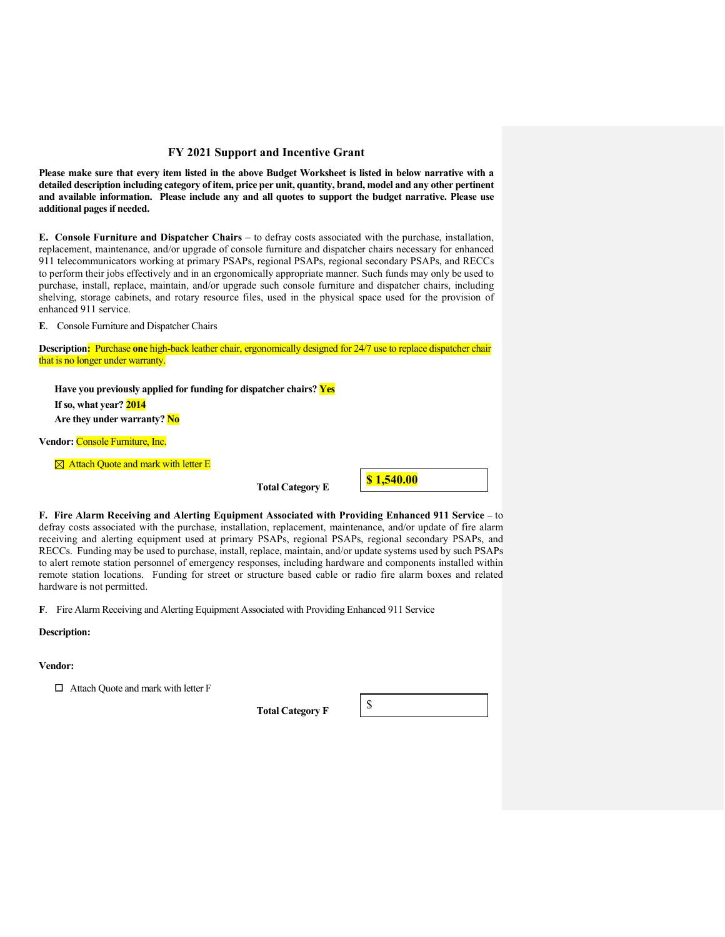**Please make sure that every item listed in the above Budget Worksheet is listed in below narrative with a detailed description including category of item, price per unit, quantity, brand, model and any other pertinent and available information. Please include any and all quotes to support the budget narrative. Please use additional pages if needed.**

**E. Console Furniture and Dispatcher Chairs** – to defray costs associated with the purchase, installation, replacement, maintenance, and/or upgrade of console furniture and dispatcher chairs necessary for enhanced 911 telecommunicators working at primary PSAPs, regional PSAPs, regional secondary PSAPs, and RECCs to perform their jobs effectively and in an ergonomically appropriate manner. Such funds may only be used to purchase, install, replace, maintain, and/or upgrade such console furniture and dispatcher chairs, including shelving, storage cabinets, and rotary resource files, used in the physical space used for the provision of enhanced 911 service.

**E**. Console Furniture and Dispatcher Chairs

**Description:** Purchase **one** high-back leather chair, ergonomically designed for 24/7 use to replace dispatcher chair that is no longer under warranty.

**Have you previously applied for funding for dispatcher chairs? Yes If so, what year? 2014 Are they under warranty? No**

**Vendor:** Console Furniture, Inc.

 $\boxtimes$  **Attach Quote and mark with letter E** 

**Total Category E** 



**F. Fire Alarm Receiving and Alerting Equipment Associated with Providing Enhanced 911 Service** – to defray costs associated with the purchase, installation, replacement, maintenance, and/or update of fire alarm receiving and alerting equipment used at primary PSAPs, regional PSAPs, regional secondary PSAPs, and RECCs. Funding may be used to purchase, install, replace, maintain, and/or update systems used by such PSAPs to alert remote station personnel of emergency responses, including hardware and components installed within remote station locations. Funding for street or structure based cable or radio fire alarm boxes and related hardware is not permitted.

**F**. Fire Alarm Receiving and Alerting Equipment Associated with Providing Enhanced 911 Service

## **Description:**

**Vendor:**

 $\Box$  Attach Quote and mark with letter F

**Total Category F** 

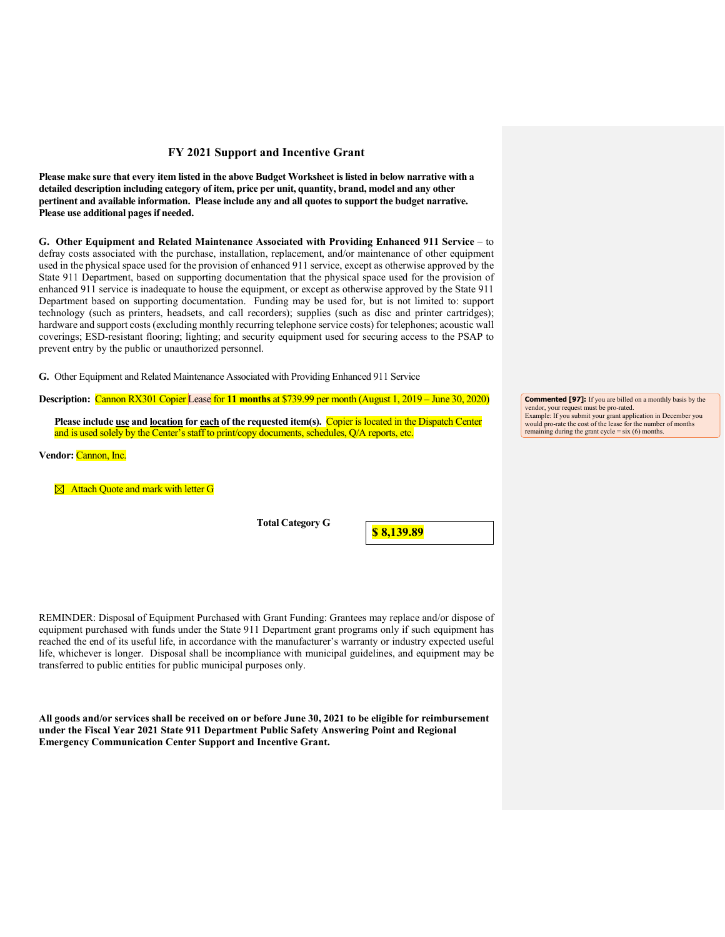**Please make sure that every item listed in the above Budget Worksheet is listed in below narrative with a detailed description including category of item, price per unit, quantity, brand, model and any other pertinent and available information. Please include any and all quotes to support the budget narrative. Please use additional pages if needed.**

**G. Other Equipment and Related Maintenance Associated with Providing Enhanced 911 Service** – to defray costs associated with the purchase, installation, replacement, and/or maintenance of other equipment used in the physical space used for the provision of enhanced 911 service, except as otherwise approved by the State 911 Department, based on supporting documentation that the physical space used for the provision of enhanced 911 service is inadequate to house the equipment, or except as otherwise approved by the State 911 Department based on supporting documentation. Funding may be used for, but is not limited to: support technology (such as printers, headsets, and call recorders); supplies (such as disc and printer cartridges); hardware and support costs (excluding monthly recurring telephone service costs) for telephones; acoustic wall coverings; ESD-resistant flooring; lighting; and security equipment used for securing access to the PSAP to prevent entry by the public or unauthorized personnel.

**G.** Other Equipment and Related Maintenance Associated with Providing Enhanced 911 Service

**Description:** Cannon RX301 Copier Lease for **11 months** at \$739.99 per month (August 1, 2019 – June 30, 2020)

**Please include use and location for each of the requested item(s).** Copier is located in the Dispatch Center and is used solely by the Center's staff to print/copy documents, schedules, Q/A reports, etc.

**Vendor:** Cannon, Inc.

**<sup>** $\boxtimes$ **</sup>** Attach Quote and mark with letter G

**Total Category G** 

**\$ 8,139.89**

REMINDER: Disposal of Equipment Purchased with Grant Funding: Grantees may replace and/or dispose of equipment purchased with funds under the State 911 Department grant programs only if such equipment has reached the end of its useful life, in accordance with the manufacturer's warranty or industry expected useful life, whichever is longer. Disposal shall be incompliance with municipal guidelines, and equipment may be transferred to public entities for public municipal purposes only.

**All goods and/or services shall be received on or before June 30, 2021 to be eligible for reimbursement under the Fiscal Year 2021 State 911 Department Public Safety Answering Point and Regional Emergency Communication Center Support and Incentive Grant.**

**Commented [97]:** If you are billed on a monthly basis by the vendor, your request must be pro-rated. Example: If you submit your grant application in December you would pro-rate the cost of the lease for the number of months remaining during the grant cycle = six (6) months.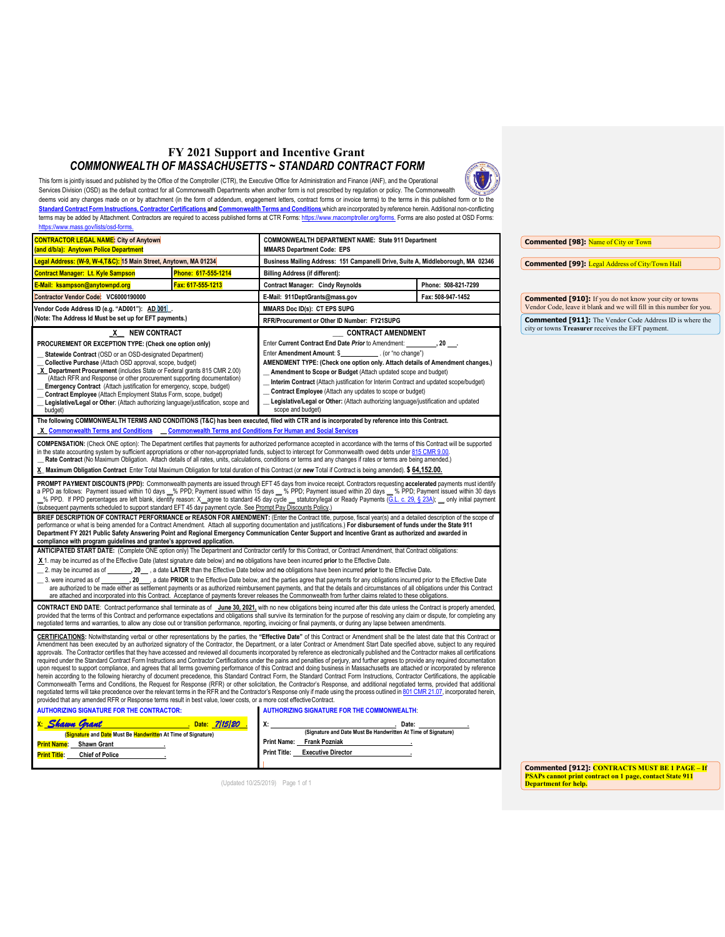## **FY 2021 Support and Incentive Grant** *COMMONWEALTH OF MASSACHUSETTS ~ STANDARD CONTRACT FORM*

This form is jointly issued and published by the Office of the Comptroller (CTR), the Executive Office for Administration and Finance (ANF), and the Operational Services Division (OSD) as the default contract for all Commonwealth Departments when another form is not prescribed by regulation or policy. The Commonwealth deems void any changes made on or by attachment (in the form of addendum, engagement letters, contract forms or invoice terms) to the terms in this published form or to the **Standard Contract Form Instructions, Contractor Certifications and Commonwealth Terms and Conditions** which are incorporated by reference herein. Additional non-conflicting terms may be added by Attachment. Contractors are required to access published forms at CTR Forms: https://www.macomptroller.org/forms. Forms are also posted at OSD Forms:

| https://www.mass.gov/lists/osd-forms                                                                                                                                                                                                                                                                                                                                                                                                                                                                                                                                                                                                                                                                                                                                                                                                                                                                                                                                                                                                                                                                                                                                                                                                                                                                                                                                                                                                                                                                                                                                                                                                                                                                                                                                                                                                                                     |                                                                                                                                                      |                                                                                                                                                                                                                                                                                                                                                                                                                                                                                                                                                                                                                                                                                                                                                                                                                                                       |                     |
|--------------------------------------------------------------------------------------------------------------------------------------------------------------------------------------------------------------------------------------------------------------------------------------------------------------------------------------------------------------------------------------------------------------------------------------------------------------------------------------------------------------------------------------------------------------------------------------------------------------------------------------------------------------------------------------------------------------------------------------------------------------------------------------------------------------------------------------------------------------------------------------------------------------------------------------------------------------------------------------------------------------------------------------------------------------------------------------------------------------------------------------------------------------------------------------------------------------------------------------------------------------------------------------------------------------------------------------------------------------------------------------------------------------------------------------------------------------------------------------------------------------------------------------------------------------------------------------------------------------------------------------------------------------------------------------------------------------------------------------------------------------------------------------------------------------------------------------------------------------------------|------------------------------------------------------------------------------------------------------------------------------------------------------|-------------------------------------------------------------------------------------------------------------------------------------------------------------------------------------------------------------------------------------------------------------------------------------------------------------------------------------------------------------------------------------------------------------------------------------------------------------------------------------------------------------------------------------------------------------------------------------------------------------------------------------------------------------------------------------------------------------------------------------------------------------------------------------------------------------------------------------------------------|---------------------|
| <b>CONTRACTOR LEGAL NAME: City of Anytown</b>                                                                                                                                                                                                                                                                                                                                                                                                                                                                                                                                                                                                                                                                                                                                                                                                                                                                                                                                                                                                                                                                                                                                                                                                                                                                                                                                                                                                                                                                                                                                                                                                                                                                                                                                                                                                                            |                                                                                                                                                      | COMMONWEALTH DEPARTMENT NAME: State 911 Department                                                                                                                                                                                                                                                                                                                                                                                                                                                                                                                                                                                                                                                                                                                                                                                                    |                     |
| and d/b/a): Anytown Police Department                                                                                                                                                                                                                                                                                                                                                                                                                                                                                                                                                                                                                                                                                                                                                                                                                                                                                                                                                                                                                                                                                                                                                                                                                                                                                                                                                                                                                                                                                                                                                                                                                                                                                                                                                                                                                                    |                                                                                                                                                      | <b>MMARS Department Code: EPS</b>                                                                                                                                                                                                                                                                                                                                                                                                                                                                                                                                                                                                                                                                                                                                                                                                                     |                     |
|                                                                                                                                                                                                                                                                                                                                                                                                                                                                                                                                                                                                                                                                                                                                                                                                                                                                                                                                                                                                                                                                                                                                                                                                                                                                                                                                                                                                                                                                                                                                                                                                                                                                                                                                                                                                                                                                          | Legal Address: (W-9, W-4,T&C): 15 Main Street, Anytown, MA 01234<br>Business Mailing Address: 151 Campanelli Drive, Suite A, Middleborough, MA 02346 |                                                                                                                                                                                                                                                                                                                                                                                                                                                                                                                                                                                                                                                                                                                                                                                                                                                       |                     |
| <b>Contract Manager: Lt. Kyle Sampson</b>                                                                                                                                                                                                                                                                                                                                                                                                                                                                                                                                                                                                                                                                                                                                                                                                                                                                                                                                                                                                                                                                                                                                                                                                                                                                                                                                                                                                                                                                                                                                                                                                                                                                                                                                                                                                                                | Phone: 617-555-1214                                                                                                                                  | <b>Billing Address (if different):</b>                                                                                                                                                                                                                                                                                                                                                                                                                                                                                                                                                                                                                                                                                                                                                                                                                |                     |
| E-Mail: ksampson@anytownpd.org                                                                                                                                                                                                                                                                                                                                                                                                                                                                                                                                                                                                                                                                                                                                                                                                                                                                                                                                                                                                                                                                                                                                                                                                                                                                                                                                                                                                                                                                                                                                                                                                                                                                                                                                                                                                                                           | Fax: 617-555-1213                                                                                                                                    | <b>Contract Manager: Cindy Reynolds</b>                                                                                                                                                                                                                                                                                                                                                                                                                                                                                                                                                                                                                                                                                                                                                                                                               | Phone: 508-821-7299 |
| Contractor Vendor Code: VC6000190000                                                                                                                                                                                                                                                                                                                                                                                                                                                                                                                                                                                                                                                                                                                                                                                                                                                                                                                                                                                                                                                                                                                                                                                                                                                                                                                                                                                                                                                                                                                                                                                                                                                                                                                                                                                                                                     |                                                                                                                                                      | E-Mail: 911DeptGrants@mass.gov                                                                                                                                                                                                                                                                                                                                                                                                                                                                                                                                                                                                                                                                                                                                                                                                                        | Fax: 508-947-1452   |
| Vendor Code Address ID (e.g. "AD001"): AD 001 .                                                                                                                                                                                                                                                                                                                                                                                                                                                                                                                                                                                                                                                                                                                                                                                                                                                                                                                                                                                                                                                                                                                                                                                                                                                                                                                                                                                                                                                                                                                                                                                                                                                                                                                                                                                                                          |                                                                                                                                                      | MMARS Doc ID(s): CT EPS SUPG                                                                                                                                                                                                                                                                                                                                                                                                                                                                                                                                                                                                                                                                                                                                                                                                                          |                     |
| (Note: The Address Id Must be set up for EFT payments.)                                                                                                                                                                                                                                                                                                                                                                                                                                                                                                                                                                                                                                                                                                                                                                                                                                                                                                                                                                                                                                                                                                                                                                                                                                                                                                                                                                                                                                                                                                                                                                                                                                                                                                                                                                                                                  |                                                                                                                                                      | RFR/Procurement or Other ID Number: FY21SUPG                                                                                                                                                                                                                                                                                                                                                                                                                                                                                                                                                                                                                                                                                                                                                                                                          |                     |
| X NEW CONTRACT                                                                                                                                                                                                                                                                                                                                                                                                                                                                                                                                                                                                                                                                                                                                                                                                                                                                                                                                                                                                                                                                                                                                                                                                                                                                                                                                                                                                                                                                                                                                                                                                                                                                                                                                                                                                                                                           |                                                                                                                                                      | <b>CONTRACT AMENDMENT</b>                                                                                                                                                                                                                                                                                                                                                                                                                                                                                                                                                                                                                                                                                                                                                                                                                             |                     |
| PROCUREMENT OR EXCEPTION TYPE: (Check one option only)                                                                                                                                                                                                                                                                                                                                                                                                                                                                                                                                                                                                                                                                                                                                                                                                                                                                                                                                                                                                                                                                                                                                                                                                                                                                                                                                                                                                                                                                                                                                                                                                                                                                                                                                                                                                                   |                                                                                                                                                      |                                                                                                                                                                                                                                                                                                                                                                                                                                                                                                                                                                                                                                                                                                                                                                                                                                                       |                     |
| Statewide Contract (OSD or an OSD-designated Department)                                                                                                                                                                                                                                                                                                                                                                                                                                                                                                                                                                                                                                                                                                                                                                                                                                                                                                                                                                                                                                                                                                                                                                                                                                                                                                                                                                                                                                                                                                                                                                                                                                                                                                                                                                                                                 |                                                                                                                                                      | Enter Amendment Amount: \$ (or "no change")                                                                                                                                                                                                                                                                                                                                                                                                                                                                                                                                                                                                                                                                                                                                                                                                           |                     |
| Collective Purchase (Attach OSD approval, scope, budget)                                                                                                                                                                                                                                                                                                                                                                                                                                                                                                                                                                                                                                                                                                                                                                                                                                                                                                                                                                                                                                                                                                                                                                                                                                                                                                                                                                                                                                                                                                                                                                                                                                                                                                                                                                                                                 |                                                                                                                                                      | AMENDMENT TYPE: (Check one option only. Attach details of Amendment changes.)                                                                                                                                                                                                                                                                                                                                                                                                                                                                                                                                                                                                                                                                                                                                                                         |                     |
| X Department Procurement (includes State or Federal grants 815 CMR 2.00)<br>(Attach RFR and Response or other procurement supporting documentation)                                                                                                                                                                                                                                                                                                                                                                                                                                                                                                                                                                                                                                                                                                                                                                                                                                                                                                                                                                                                                                                                                                                                                                                                                                                                                                                                                                                                                                                                                                                                                                                                                                                                                                                      |                                                                                                                                                      | Amendment to Scope or Budget (Attach updated scope and budget)                                                                                                                                                                                                                                                                                                                                                                                                                                                                                                                                                                                                                                                                                                                                                                                        |                     |
| Emergency Contract (Attach justification for emergency, scope, budget)                                                                                                                                                                                                                                                                                                                                                                                                                                                                                                                                                                                                                                                                                                                                                                                                                                                                                                                                                                                                                                                                                                                                                                                                                                                                                                                                                                                                                                                                                                                                                                                                                                                                                                                                                                                                   |                                                                                                                                                      | _ Interim Contract (Attach justification for Interim Contract and updated scope/budget)                                                                                                                                                                                                                                                                                                                                                                                                                                                                                                                                                                                                                                                                                                                                                               |                     |
| Contract Employee (Attach Employment Status Form, scope, budget)                                                                                                                                                                                                                                                                                                                                                                                                                                                                                                                                                                                                                                                                                                                                                                                                                                                                                                                                                                                                                                                                                                                                                                                                                                                                                                                                                                                                                                                                                                                                                                                                                                                                                                                                                                                                         |                                                                                                                                                      | Contract Employee (Attach any updates to scope or budget)                                                                                                                                                                                                                                                                                                                                                                                                                                                                                                                                                                                                                                                                                                                                                                                             |                     |
| Legislative/Legal or Other: (Attach authorizing language/justification, scope and<br>budget)                                                                                                                                                                                                                                                                                                                                                                                                                                                                                                                                                                                                                                                                                                                                                                                                                                                                                                                                                                                                                                                                                                                                                                                                                                                                                                                                                                                                                                                                                                                                                                                                                                                                                                                                                                             |                                                                                                                                                      | Legislative/Legal or Other: (Attach authorizing language/justification and updated<br>scope and budget)                                                                                                                                                                                                                                                                                                                                                                                                                                                                                                                                                                                                                                                                                                                                               |                     |
|                                                                                                                                                                                                                                                                                                                                                                                                                                                                                                                                                                                                                                                                                                                                                                                                                                                                                                                                                                                                                                                                                                                                                                                                                                                                                                                                                                                                                                                                                                                                                                                                                                                                                                                                                                                                                                                                          |                                                                                                                                                      | The following COMMONWEALTH TERMS AND CONDITIONS (T&C) has been executed, filed with CTR and is incorporated by reference into this Contract.                                                                                                                                                                                                                                                                                                                                                                                                                                                                                                                                                                                                                                                                                                          |                     |
| X Commonwealth Terms and Conditions Commonwealth Terms and Conditions For Human and Social Services                                                                                                                                                                                                                                                                                                                                                                                                                                                                                                                                                                                                                                                                                                                                                                                                                                                                                                                                                                                                                                                                                                                                                                                                                                                                                                                                                                                                                                                                                                                                                                                                                                                                                                                                                                      |                                                                                                                                                      |                                                                                                                                                                                                                                                                                                                                                                                                                                                                                                                                                                                                                                                                                                                                                                                                                                                       |                     |
| COMPENSATION: (Check ONE option): The Department certifies that payments for authorized performance accepted in accordance with the terms of this Contract will be supported<br>in the state accounting system by sufficient appropriations or other non-appropriated funds, subject to intercept for Commonwealth owed debts under 815 CMR 9.00.<br>Rate Contract (No Maximum Obligation. Attach details of all rates, units, calculations, conditions or terms and any changes if rates or terms are being amended.)<br>X_ Maximum Obligation Contract Enter Total Maximum Obligation for total duration of this Contract (or new Total if Contract is being amended). \$ 64,152.00.                                                                                                                                                                                                                                                                                                                                                                                                                                                                                                                                                                                                                                                                                                                                                                                                                                                                                                                                                                                                                                                                                                                                                                                   |                                                                                                                                                      |                                                                                                                                                                                                                                                                                                                                                                                                                                                                                                                                                                                                                                                                                                                                                                                                                                                       |                     |
| (subsequent payments scheduled to support standard EFT 45 day payment cycle. See Prompt Pay Discounts Policy.)<br>compliance with program guidelines and grantee's approved application.                                                                                                                                                                                                                                                                                                                                                                                                                                                                                                                                                                                                                                                                                                                                                                                                                                                                                                                                                                                                                                                                                                                                                                                                                                                                                                                                                                                                                                                                                                                                                                                                                                                                                 |                                                                                                                                                      | a PPD as follows: Payment issued within 10 days 6 PPD; Payment issued within 15 days 6 PPD; Payment issued within 20 days 6 PPD; Payment issued within 30 days<br>% PPD. If PPD percentages are left blank, identify reason: X_agree to standard 45 day cycle __ statutory/legal or Ready Payments (G.L. c. 29, § 23A); __ only initial payment<br>BRIEF DESCRIPTION OF CONTRACT PERFORMANCE or REASON FOR AMENDMENT: (Enter the Contract title, purpose, fiscal year(s) and a detailed description of the scope of<br>performance or what is being amended for a Contract Amendment. Attach all supporting documentation and justifications.) For disbursement of funds under the State 911<br>Department FY 2021 Public Safety Answering Point and Regional Emergency Communication Center Support and Incentive Grant as authorized and awarded in |                     |
| ANTICIPATED START DATE: (Complete ONE option only) The Department and Contractor certify for this Contract, or Contract Amendment, that Contract obligations:<br>X 1. may be incurred as of the Effective Date (latest signature date below) and no obligations have been incurred prior to the Effective Date.                                                                                                                                                                                                                                                                                                                                                                                                                                                                                                                                                                                                                                                                                                                                                                                                                                                                                                                                                                                                                                                                                                                                                                                                                                                                                                                                                                                                                                                                                                                                                          |                                                                                                                                                      |                                                                                                                                                                                                                                                                                                                                                                                                                                                                                                                                                                                                                                                                                                                                                                                                                                                       |                     |
|                                                                                                                                                                                                                                                                                                                                                                                                                                                                                                                                                                                                                                                                                                                                                                                                                                                                                                                                                                                                                                                                                                                                                                                                                                                                                                                                                                                                                                                                                                                                                                                                                                                                                                                                                                                                                                                                          |                                                                                                                                                      | _2. may be incurred as of _________, 20___, a date LATER than the Effective Date below and no obligations have been incurred prior to the Effective Date.                                                                                                                                                                                                                                                                                                                                                                                                                                                                                                                                                                                                                                                                                             |                     |
| __ 3. were incurred as of _________, 20____, a date PRIOR to the Effective Date below, and the parties agree that payments for any obligations incurred prior to the Effective Date<br>are authorized to be made either as settlement payments or as authorized reimbursement payments, and that the details and circumstances of all obligations under this Contract<br>are attached and incorporated into this Contract. Acceptance of payments forever releases the Commonwealth from further claims related to these obligations.                                                                                                                                                                                                                                                                                                                                                                                                                                                                                                                                                                                                                                                                                                                                                                                                                                                                                                                                                                                                                                                                                                                                                                                                                                                                                                                                    |                                                                                                                                                      |                                                                                                                                                                                                                                                                                                                                                                                                                                                                                                                                                                                                                                                                                                                                                                                                                                                       |                     |
| CONTRACT END DATE: Contract performance shall terminate as of June 30, 2021, with no new obligations being incurred after this date unless the Contract is properly amended,<br>provided that the terms of this Contract and performance expectations and obligations shall survive its termination for the purpose of resolving any claim or dispute, for completing any<br>negotiated terms and warranties, to allow any close out or transition performance, reporting, invoicing or final payments, or during any lapse between amendments.                                                                                                                                                                                                                                                                                                                                                                                                                                                                                                                                                                                                                                                                                                                                                                                                                                                                                                                                                                                                                                                                                                                                                                                                                                                                                                                          |                                                                                                                                                      |                                                                                                                                                                                                                                                                                                                                                                                                                                                                                                                                                                                                                                                                                                                                                                                                                                                       |                     |
| CERTIFICATIONS: Notwithstanding verbal or other representations by the parties, the "Effective Date" of this Contract or Amendment shall be the latest date that this Contract or<br>Amendment has been executed by an authorized signatory of the Contractor, the Department, or a later Contract or Amendment Start Date specified above, subject to any required<br>approvals. The Contractor certifies that they have accessed and reviewed all documents incorporated by reference as electronically published and the Contractor makes all certifications<br>required under the Standard Contract Form Instructions and Contractor Certifications under the pains and penalties of perjury, and further agrees to provide any required documentation<br>upon request to support compliance, and agrees that all terms governing performance of this Contract and doing business in Massachusetts are attached or incorporated by reference<br>herein according to the following hierarchy of document precedence, this Standard Contract Form, the Standard Contract Form Instructions, Contractor Certifications, the applicable<br>Commonwealth Terms and Conditions, the Request for Response (RFR) or other solicitation, the Contractor's Response, and additional negotiated terms, provided that additional<br>negotiated terms will take precedence over the relevant terms in the RFR and the Contractor's Response only if made using the process outlined in 801 CMR 21.07, incorporated herein,<br>provided that any amended RFR or Response terms result in best value, lower costs, or a more cost effective Contract.<br><b>AUTHORIZING SIGNATURE FOR THE CONTRACTOR:</b><br><b>AUTHORIZING SIGNATURE FOR THE COMMONWEALTH:</b><br>Date: 7/15/20<br><u> Shaun Arant</u><br>. Date:<br>(Signature and Date Must Be Handwritten At Time of Signature) |                                                                                                                                                      |                                                                                                                                                                                                                                                                                                                                                                                                                                                                                                                                                                                                                                                                                                                                                                                                                                                       |                     |
| (Signature and Date Must Be Handwritten At Time of Signature)                                                                                                                                                                                                                                                                                                                                                                                                                                                                                                                                                                                                                                                                                                                                                                                                                                                                                                                                                                                                                                                                                                                                                                                                                                                                                                                                                                                                                                                                                                                                                                                                                                                                                                                                                                                                            |                                                                                                                                                      | Print Name: Frank Pozniak                                                                                                                                                                                                                                                                                                                                                                                                                                                                                                                                                                                                                                                                                                                                                                                                                             |                     |
| <b>Print Name:</b> Shawn Grant                                                                                                                                                                                                                                                                                                                                                                                                                                                                                                                                                                                                                                                                                                                                                                                                                                                                                                                                                                                                                                                                                                                                                                                                                                                                                                                                                                                                                                                                                                                                                                                                                                                                                                                                                                                                                                           |                                                                                                                                                      | Print Title: Executive Director                                                                                                                                                                                                                                                                                                                                                                                                                                                                                                                                                                                                                                                                                                                                                                                                                       |                     |
| <b>Print Title:</b>                                                                                                                                                                                                                                                                                                                                                                                                                                                                                                                                                                                                                                                                                                                                                                                                                                                                                                                                                                                                                                                                                                                                                                                                                                                                                                                                                                                                                                                                                                                                                                                                                                                                                                                                                                                                                                                      | <b>Chief of Police</b>                                                                                                                               |                                                                                                                                                                                                                                                                                                                                                                                                                                                                                                                                                                                                                                                                                                                                                                                                                                                       |                     |
|                                                                                                                                                                                                                                                                                                                                                                                                                                                                                                                                                                                                                                                                                                                                                                                                                                                                                                                                                                                                                                                                                                                                                                                                                                                                                                                                                                                                                                                                                                                                                                                                                                                                                                                                                                                                                                                                          |                                                                                                                                                      |                                                                                                                                                                                                                                                                                                                                                                                                                                                                                                                                                                                                                                                                                                                                                                                                                                                       |                     |

**Commented [912]: CONTRACTS MUST BE 1 PAGE – If PSAPs cannot print contract on 1 page, contact State 911 Department for help.**

**Commented [98]:** Name of City or Town

**Commented [99]:** Legal Address of City/Town Hall

**Commented [910]:** If you do not know your city or towns Vendor Code, leave it blank and we will fill in this number for you. **Commented [911]:** The Vendor Code Address ID is where the city or towns **Treasurer** receives the EFT payment.

(Updated 10/25/2019) Page 1 of 1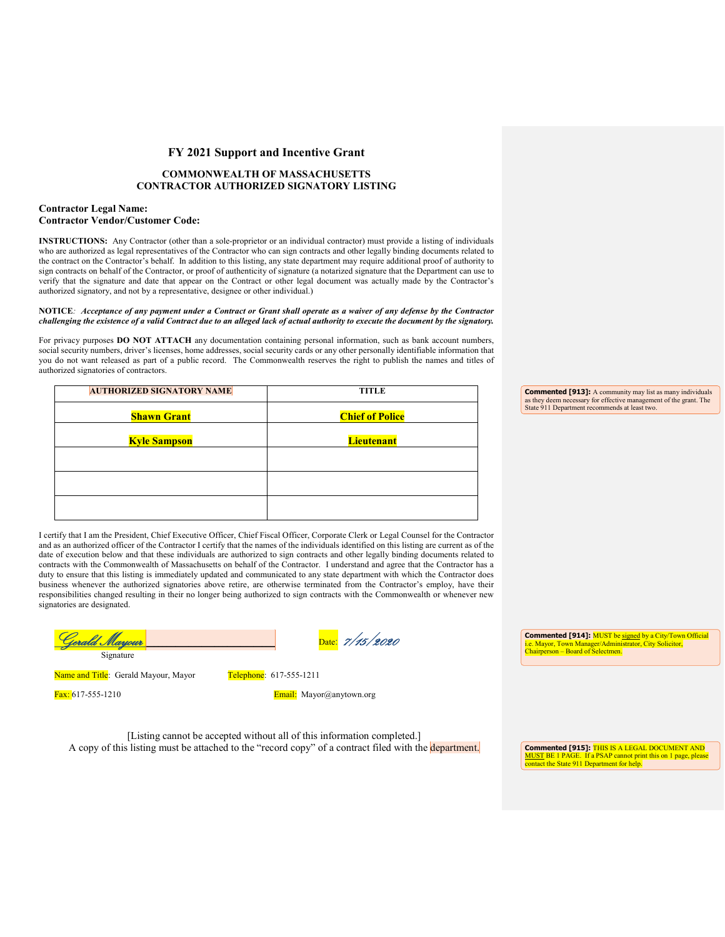#### **COMMONWEALTH OF MASSACHUSETTS CONTRACTOR AUTHORIZED SIGNATORY LISTING**

#### **Contractor Legal Name: Contractor Vendor/Customer Code:**

**INSTRUCTIONS:** Any Contractor (other than a sole-proprietor or an individual contractor) must provide a listing of individuals who are authorized as legal representatives of the Contractor who can sign contracts and other legally binding documents related to the contract on the Contractor's behalf. In addition to this listing, any state department may require additional proof of authority to sign contracts on behalf of the Contractor, or proof of authenticity of signature (a notarized signature that the Department can use to verify that the signature and date that appear on the Contract or other legal document was actually made by the Contractor's authorized signatory, and not by a representative, designee or other individual.)

#### **NOTICE***: Acceptance of any payment under a Contract or Grant shall operate as a waiver of any defense by the Contractor challenging the existence of a valid Contract due to an alleged lack of actual authority to execute the document by the signatory.*

For privacy purposes **DO NOT ATTACH** any documentation containing personal information, such as bank account numbers, social security numbers, driver's licenses, home addresses, social security cards or any other personally identifiable information that you do not want released as part of a public record. The Commonwealth reserves the right to publish the names and titles of authorized signatories of contractors.

| <b>AUTHORIZED SIGNATORY NAME</b> | <b>TITLE</b>           |
|----------------------------------|------------------------|
|                                  |                        |
| <b>Shawn Grant</b>               | <b>Chief of Police</b> |
|                                  |                        |
| <b>Kyle Sampson</b>              | <b>Lieutenant</b>      |
|                                  |                        |
|                                  |                        |
|                                  |                        |
|                                  |                        |
|                                  |                        |
|                                  |                        |
|                                  |                        |

**Commented [913]:** A community may list as many individuals as they deem necessary for effective management of the grant. The State 911 Department recommends at least two.

I certify that I am the President, Chief Executive Officer, Chief Fiscal Officer, Corporate Clerk or Legal Counsel for the Contractor and as an authorized officer of the Contractor I certify that the names of the individuals identified on this listing are current as of the date of execution below and that these individuals are authorized to sign contracts and other legally binding documents related to contracts with the Commonwealth of Massachusetts on behalf of the Contractor. I understand and agree that the Contractor has a duty to ensure that this listing is immediately updated and communicated to any state department with which the Contractor does business whenever the authorized signatories above retire, are otherwise terminated from the Contractor's employ, have their responsibilities changed resulting in their no longer being authorized to sign contracts with the Commonwealth or whenever new signatories are designated.

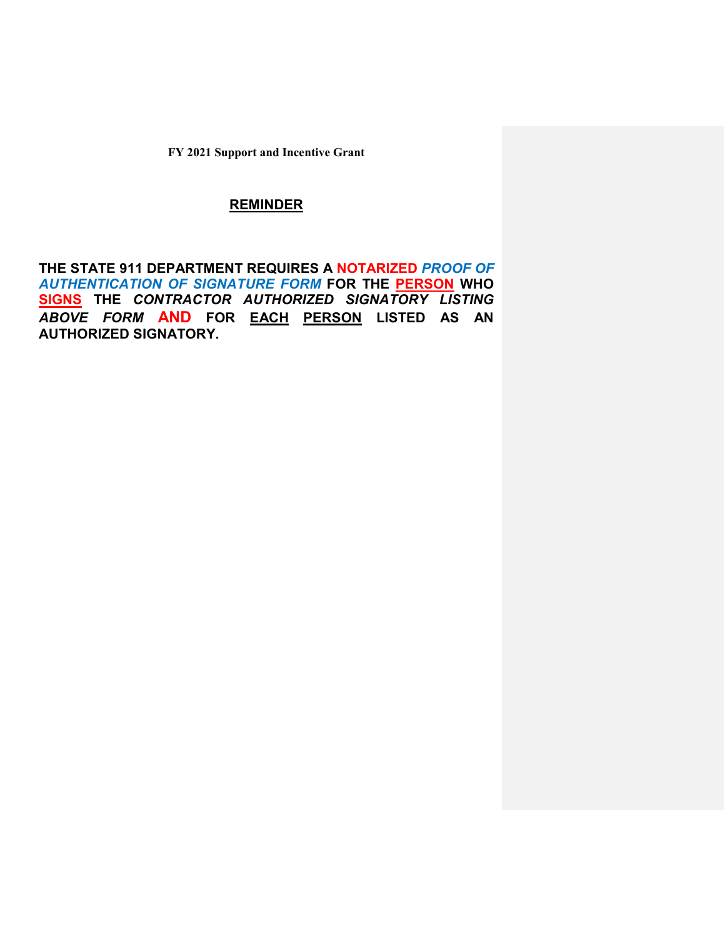## **REMINDER**

**THE STATE 911 DEPARTMENT REQUIRES A NOTARIZED** *PROOF OF AUTHENTICATION OF SIGNATURE FORM* **FOR THE PERSON WHO SIGNS THE** *CONTRACTOR AUTHORIZED SIGNATORY LISTING ABOVE FORM* **AND FOR EACH PERSON LISTED AS AN AUTHORIZED SIGNATORY.**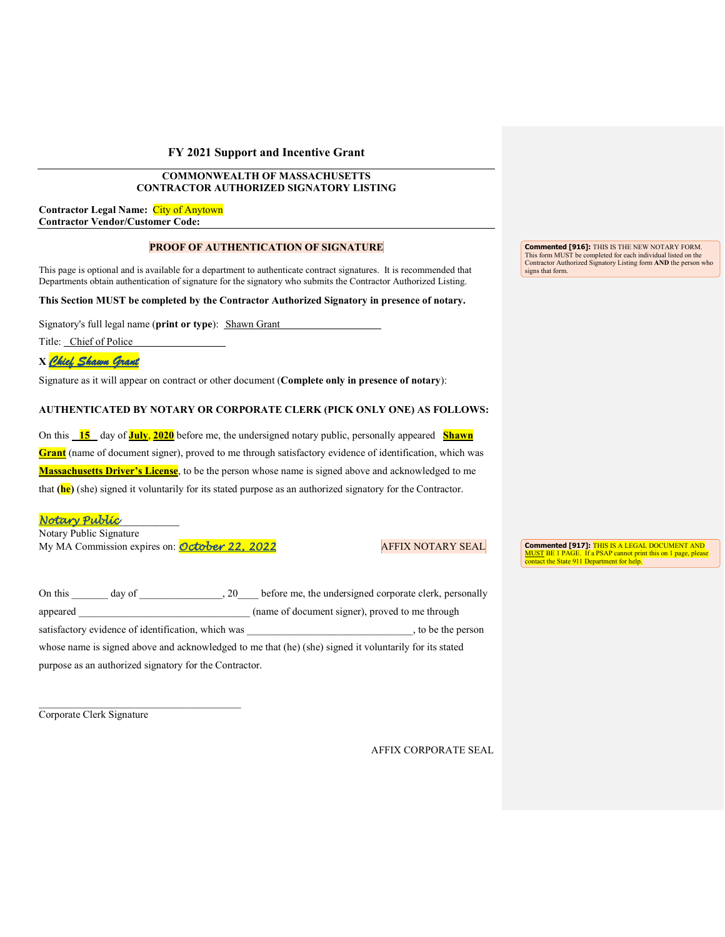## **COMMONWEALTH OF MASSACHUSETTS CONTRACTOR AUTHORIZED SIGNATORY LISTING**

**Contractor Legal Name:** City of Anytown **Contractor Vendor/Customer Code:**

#### **PROOF OF AUTHENTICATION OF SIGNATURE**

This page is optional and is available for a department to authenticate contract signatures. It is recommended that Departments obtain authentication of signature for the signatory who submits the Contractor Authorized Listing.

**This Section MUST be completed by the Contractor Authorized Signatory in presence of notary.**

Signatory's full legal name (**print or type**): Shawn Grant

Title: Chief of Police

**X** *Chief Shawn Grant*

Signature as it will appear on contract or other document (**Complete only in presence of notary**):

## **AUTHENTICATED BY NOTARY OR CORPORATE CLERK (PICK ONLY ONE) AS FOLLOWS:**

On this **15** day of **July**, **2020** before me, the undersigned notary public, personally appeared **Shawn Grant** (name of document signer), proved to me through satisfactory evidence of identification, which was **Massachusetts Driver's License**, to be the person whose name is signed above and acknowledged to me that **(he)** (she) signed it voluntarily for its stated purpose as an authorized signatory for the Contractor.

## *Notary Public*\_\_\_\_\_\_\_\_\_\_

Notary Public Signature My MA Commission expires on: **October 22, 2022** AFFIX NOTARY SEAL

On this day of 20 before me, the undersigned corporate clerk, personally appeared the community of the community of document signer), proved to me through satisfactory evidence of identification, which was  $\qquad \qquad$ , to be the person whose name is signed above and acknowledged to me that (he) (she) signed it voluntarily for its stated purpose as an authorized signatory for the Contractor.

Corporate Clerk Signature

AFFIX CORPORATE SEAL

**Commented [916]:** THIS IS THE NEW NOTARY FORM. This form MUST be completed for each individual listed on the Contractor Authorized Signatory Listing form **AND** the person who signs that form.

**Commented [917]:** THIS IS A LEGAL DOCUMENT AND MUST BE 1 PAGE. If a PSAP cannot print this on 1 page, please contact the State 911 Department for help.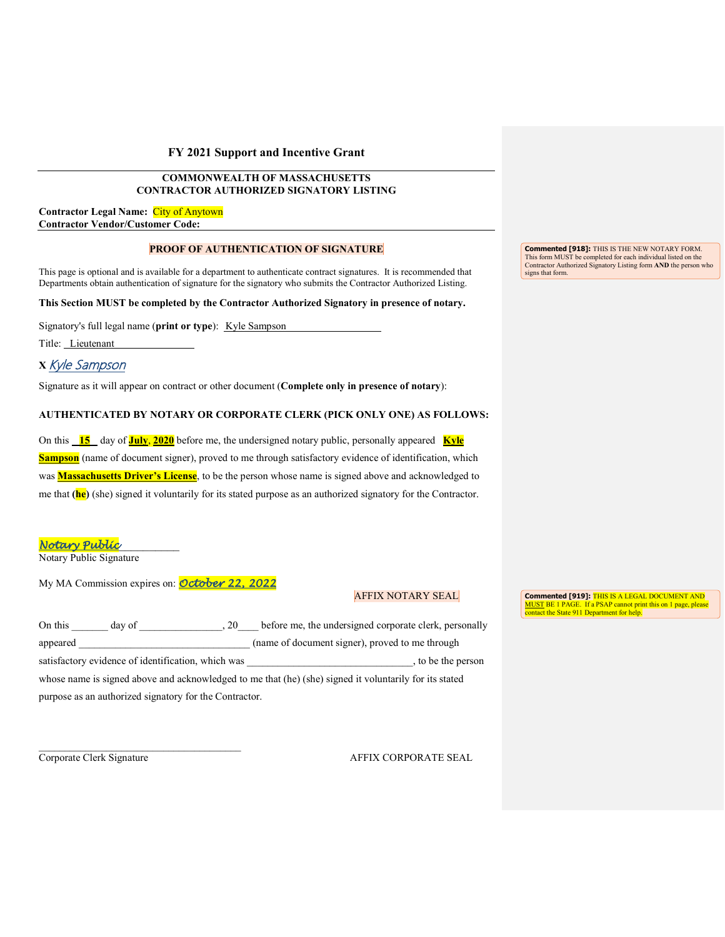#### **COMMONWEALTH OF MASSACHUSETTS CONTRACTOR AUTHORIZED SIGNATORY LISTING**

**Contractor Legal Name:** City of Anytown **Contractor Vendor/Customer Code:**

#### **PROOF OF AUTHENTICATION OF SIGNATURE**

This page is optional and is available for a department to authenticate contract signatures. It is recommended that Departments obtain authentication of signature for the signatory who submits the Contractor Authorized Listing.

**This Section MUST be completed by the Contractor Authorized Signatory in presence of notary.**

Signatory's full legal name (print or type): Kyle Sampson

Title: Lieutenant

## **X** Kyle Sampson

Signature as it will appear on contract or other document (**Complete only in presence of notary**):

#### **AUTHENTICATED BY NOTARY OR CORPORATE CLERK (PICK ONLY ONE) AS FOLLOWS:**

On this **15** day of **July**, **2020** before me, the undersigned notary public, personally appeared **Kyle Sampson** (name of document signer), proved to me through satisfactory evidence of identification, which was **Massachusetts Driver's License**, to be the person whose name is signed above and acknowledged to me that **(he)** (she) signed it voluntarily for its stated purpose as an authorized signatory for the Contractor.

*Notary Public*\_\_\_\_\_\_\_\_\_\_

Notary Public Signature

My MA Commission expires on: *October 22, 2022*

#### AFFIX NOTARY SEAL

**Commented [919]:** THIS IS A LEGAL DOCUMENT AND MUST BE 1 PAGE. If a PSAP cannot print this on 1 page, please contact the State 911 Department for help.

| On this  | day of                                                 | .20 | before me, the undersigned corporate clerk, personally                                                 |                    |
|----------|--------------------------------------------------------|-----|--------------------------------------------------------------------------------------------------------|--------------------|
| appeared |                                                        |     | (name of document signer), proved to me through                                                        |                    |
|          | satisfactory evidence of identification, which was     |     |                                                                                                        | , to be the person |
|          |                                                        |     | whose name is signed above and acknowledged to me that (he) (she) signed it voluntarily for its stated |                    |
|          | purpose as an authorized signatory for the Contractor. |     |                                                                                                        |                    |

Corporate Clerk Signature AFFIX CORPORATE SEAL

**Commented [918]:** THIS IS THE NEW NOTARY FORM. This form MUST be completed for each individual listed on the Contractor Authorized Signatory Listing form **AND** the person who signs that form.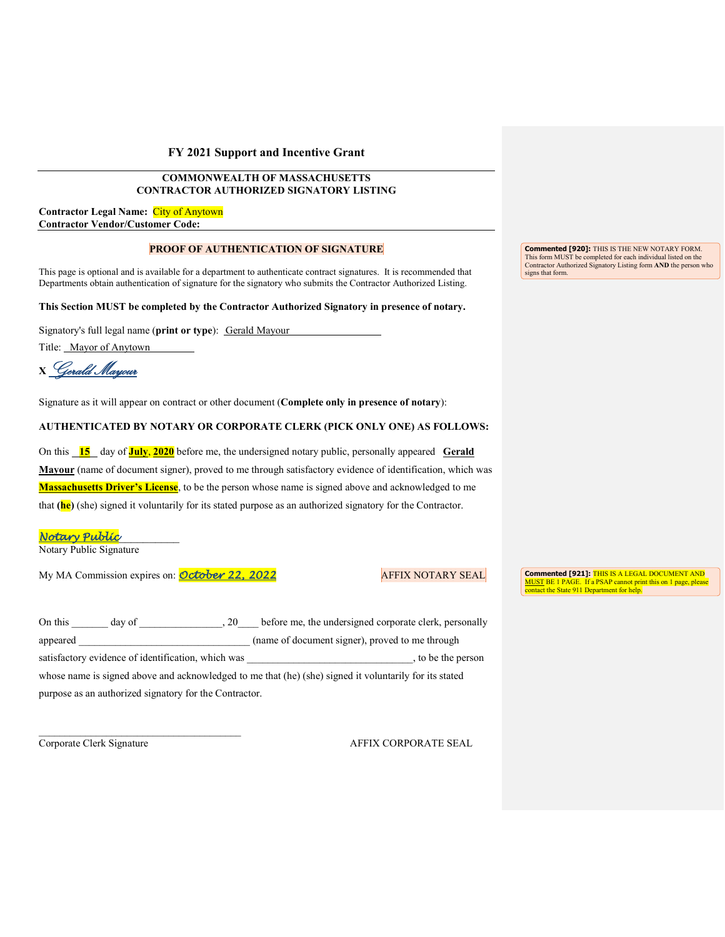## **COMMONWEALTH OF MASSACHUSETTS CONTRACTOR AUTHORIZED SIGNATORY LISTING**

**Contractor Legal Name:** City of Anytown **Contractor Vendor/Customer Code:**

## **PROOF OF AUTHENTICATION OF SIGNATURE**

This page is optional and is available for a department to authenticate contract signatures. It is recommended that Departments obtain authentication of signature for the signatory who submits the Contractor Authorized Listing.

**This Section MUST be completed by the Contractor Authorized Signatory in presence of notary.**

Signatory's full legal name (**print or type**): Gerald Mayour

Title: Mayor of Anytown

**<sup>X</sup>**Gerald Mayour

Signature as it will appear on contract or other document (**Complete only in presence of notary**):

#### **AUTHENTICATED BY NOTARY OR CORPORATE CLERK (PICK ONLY ONE) AS FOLLOWS:**

On this 15 day of **July**, 2020 before me, the undersigned notary public, personally appeared Gerald **Mayour** (name of document signer), proved to me through satisfactory evidence of identification, which was **Massachusetts Driver's License**, to be the person whose name is signed above and acknowledged to me that **(he)** (she) signed it voluntarily for its stated purpose as an authorized signatory for the Contractor.

*Notary Public*\_\_\_\_\_\_\_\_\_\_

Notary Public Signature

My MA Commission expires on: **October 22, 2022** AFFIX NOTARY SEAL

**Commented [921]:** THIS IS A LEGAL DOCUMENT AND MUST BE 1 PAGE. If a PSAP cannot print this on 1 page, please contact the State 911 Department for help.

| On this<br>day of<br>20                                | before me, the undersigned corporate clerk, personally                                                 |
|--------------------------------------------------------|--------------------------------------------------------------------------------------------------------|
| appeared                                               | (name of document signer), proved to me through                                                        |
| satisfactory evidence of identification, which was     | to be the person                                                                                       |
|                                                        | whose name is signed above and acknowledged to me that (he) (she) signed it voluntarily for its stated |
| purpose as an authorized signatory for the Contractor. |                                                                                                        |

\_\_\_\_\_\_\_\_\_\_\_\_\_\_\_\_\_\_\_\_\_\_\_\_\_\_\_\_\_\_\_\_\_\_\_\_\_\_\_

Corporate Clerk Signature AFFIX CORPORATE SEAL

**Commented [920]:** THIS IS THE NEW NOTARY FORM. This form MUST be completed for each individual listed on the Contractor Authorized Signatory Listing form **AND** the person who signs that form.